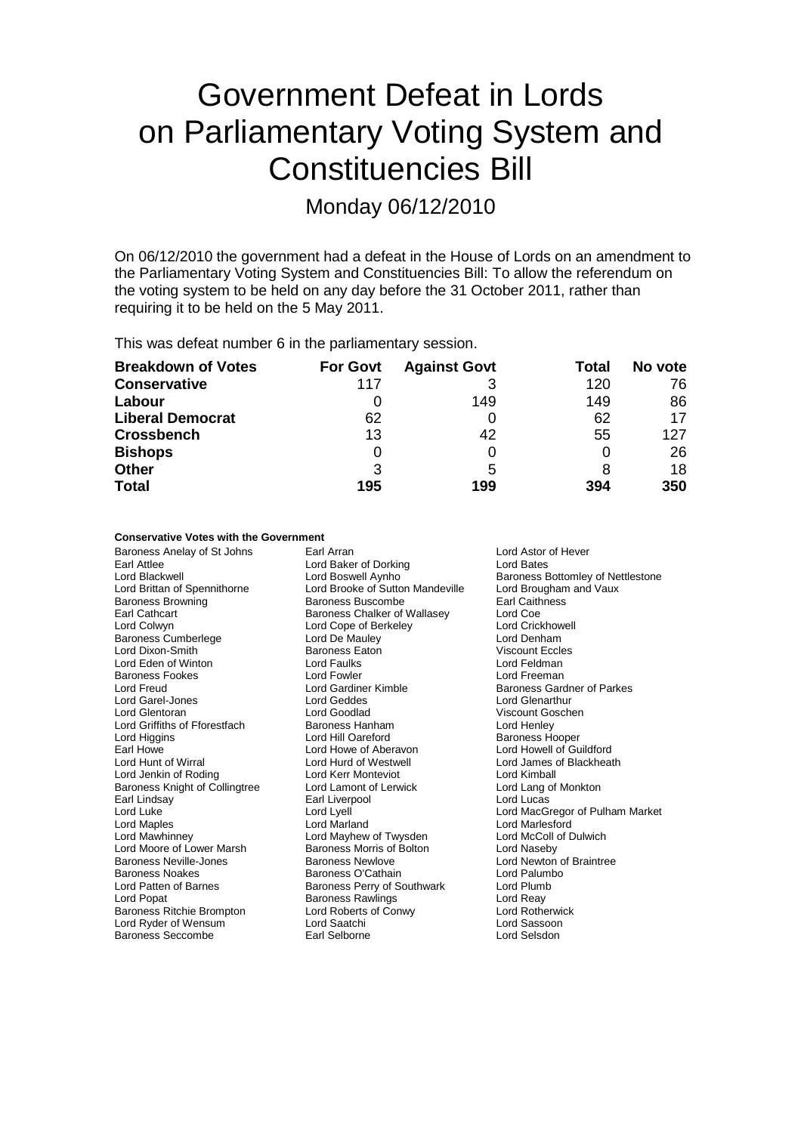# Government Defeat in Lords on Parliamentary Voting System and Constituencies Bill

Monday 06/12/2010

On 06/12/2010 the government had a defeat in the House of Lords on an amendment to the Parliamentary Voting System and Constituencies Bill: To allow the referendum on the voting system to be held on any day before the 31 October 2011, rather than requiring it to be held on the 5 May 2011.

This was defeat number 6 in the parliamentary session.

| <b>Breakdown of Votes</b> | <b>For Govt</b> | <b>Against Govt</b> | Total | No vote |
|---------------------------|-----------------|---------------------|-------|---------|
| <b>Conservative</b>       | 117             | 3                   | 120   | 76      |
| Labour                    |                 | 149                 | 149   | 86      |
| <b>Liberal Democrat</b>   | 62              |                     | 62    | 17      |
| <b>Crossbench</b>         | 13              | 42                  | 55    | 127     |
| <b>Bishops</b>            |                 |                     |       | 26      |
| <b>Other</b>              | 3               | 5                   |       | 18      |
| <b>Total</b>              | 195             | 199                 | 394   | 350     |

### **Conservative Votes with the Government**

Baroness Anelay of St Johns **Earl Arran** Earl Arran **Lord Astor of Hever** Earl Attlee Lord Baker of Dorking Lord Bates Lord Blackwell **Lord Boswell Aynho**<br>
Lord Brittan of Spennithorne **Lord Brooke of Sutton Mandeville** Lord Brougham and Vaux Baroness Browning<br>Earl Cathcart Earl Cathcart **Earl Cathcart** Baroness Chalker of Wallasey Lord Coe Lord Coe Lord Coe Lord Coe Lord Coe Lord Coe Lord Coe Lord Coe Lord Coe Lord Coe Lord Coe Lord Coe Lord Coe Lord Coe Lord Coe Lord Coe Lord Coe Lord Coe L Baroness Cumberlege Lord Dixon-Smith **Baroness Eaton** Viscount Eccles<br>
Lord Eden of Winton **Baroness Eaton** (Carl Feldman ) Lord Eden of Winton **Lord Faulks** Lord Feldman<br>
Baroness Fookes **Lord Fowler** Lord Fowler **Lord Freeman Baroness Fookes Lord Fowler** Lord Fowler Lord Freeman Lord Gardiner Kimble Lord Garel-Jones Lord Geddes Lord Glentoran Lord Goodlad Viscount Goschen Lord Griffiths of Fforestfach Baroness Hanham Lord Henley Lord Higgins **Lord Hill Oareford** Baroness Hooper Earl Howe Move of Aberavon and Lord Howell of Guildford<br>
Lord Hunt of Wirral **Lord Hurd of Westwell** Move Cord James of Blackheath Lord Jenkin of Roding **Lord Kerr Monteviot** Cord Kerr Monteviot Cord Kimball<br>
Baroness Knight of Collingtree **Lord Lamont of Lerwick** Lord Lang of Monkton Baroness Knight of Collingtree Earl Lindsay **Earl Liverpool** Earl Liverpool Lord Lucas Lord Lucas Lord Accord Lucas Lord Accord Lucas Lord MacGi<br>Accord Luke Lord Lyell Lord MacGi Lord Luke Lord Lord Lyell Lord Lord Lord MacGregor of Pulham Market<br>
Lord MacGregor of Pulham Market<br>
Lord MacGregor Lord Marland Lord Market Lord Marlesford Lord Maples Lord Marland Lord Marlesford Lord Moore of Lower Marsh Baroness Morris of Baroness Neville-Jones<br>Baroness Neville-Jones Baroness Newlove Baroness Neville-Jones **Baroness Newlove** Lord Newton of Braintree<br>Baroness Noakes **Baroness O'Cathain** Lord Palumbo Baroness Noakes Baroness O'Cathain<br>
Lord Patten of Barnes<br>
Baroness Perry of S Lord Patten of Barnes **Baroness Perry of Southwark** Lord Plumb<br>
Lord Popat **Baroness Rawlings** Lord Reav Lord Popat **Communist Communist Baroness Rawlings** Lord Reavenues Raylings Lord Reay<br>Baroness Ritchie Brompton **Lord Roberts of Conwy** Communist Lord Rotherwick Lord Ryder of Wensum Lord Saatchi Lord Sassoon Baroness Seccombe Earl Selborne Lord Selsdon

Lord Brooke of Sutton Mandeville Lord Brougham and Vaux<br>Baroness Buscombe Carl Caithness Lord Cope of Berkeley Lord Crickhow<br>
Lord De Mauley Lord Denham Lord Hurd of Westwell Lord James of Westwell Lord James of Blackheath Lord Kimball Lord Mayhew of Twysden Lord McColl of Dulwich<br>Baroness Morris of Bolton Lord Naseby Lord Roberts of Conwy

Baroness Gardner of Parkes<br>Lord Glenarthur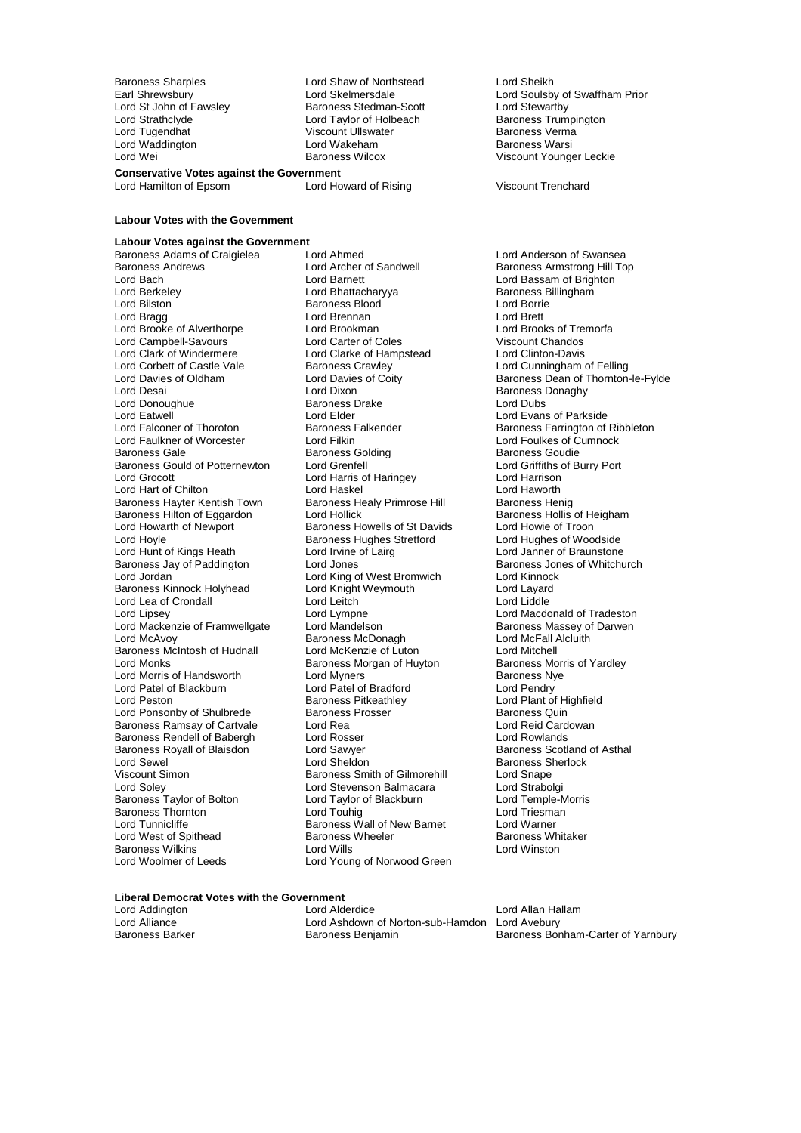Lord Waddington Lord Wakeham<br>
Lord Wei<br>
Baroness Wilcox

Baroness Sharples Lord Shaw of Northstead Lord Sheikh Lord St John of Fawsley **Baroness Stedman-Scott** Lord Stewartby<br>
Lord Strathclyde **Baroness Internal Lord Taylor** of Holbeach **Baroness Trumpington** Lord Strathclyde Lord Taylor of Holbeach Baroness Trumpington Cord Tugendhat Cord Tugendhat Cord Tugendhat Cord Tugendhat Cord Tugendhat Cord Tugendhat Cord Tugendhat Cord Tugendhat Cord Tugendhat Cord Tugendhat Cord Tugen Viscount Ullswater **Channes Verman Baroness Verman Viscount Ullswater Baroness Verman Viscount Channes**<br>Baroness Warsi

**Conservative Votes against the Government**<br>Lord Hamilton of Epsom Lord Howard of Rising

Lord Hamilton of Epsom Lord Howard of Rising Viscount Trenchard

**Labour Votes with the Government**

# **Labour Votes against the Government**

Baroness Andrews **Example 2 Example 2 Lord Archer of Sandwell** Baroness Armstrong Hill Top<br>
Lord Bach Cord Barnet Lord Barnett Lord Barsam of Brighton Lord Bach Lord Barnett Lord Barnett Lord Bassam of Brighton<br>
Lord Barkeley Cord Bhattacharvya Baroness Billingham Lord Berkeley **Lord Bhattacharyya** Baroness B<br>
Lord Bilston **Baroness Blood** Baroness Blood **Baroness** Blood Borrie Lord Bilston **Communist Communist Baroness Blood** Cord Borrie Lord Borrie Lord Borrie Lord Brett<br>
Lord Brett Lord Brett Lord Brett Lord Brett Lord Brett Lord Brett Lord Brett Lord Brett Lord Brett Lord Brett Lord Brooke of Alverthorpe Lord Brookman Lord Brooks of Tremorfacture Lord Brooks of Tremorfacture Cord Carter<br>
Lord Campbell-Savours Lord Carter of Coles Cord Viscount Chandos Lord Campbell-Savours<br>
Lord Clark of Windermere<br>
Lord Clarke of Hampstead Lord Clark of Windermere **Lord Clarke of Hampstead** Lord Clinton-Davis<br>
Lord Corbett of Castle Vale **Baroness Crawley** Lord Cunningham Lord Corbett of Castle Vale Baroness Crawley **Lord Cunningham of Felling**<br>Lord Davies of Oldham Lord Davies of Coity Baroness Dean of Thornton Lord Donoughue<br>
Lord Eatwell<br>
Lord Elder Lord Eatwell<br>
Lord Eatwell **Communist Communist Communist Communist Communist Communist Communist Communist Communist Communist Communist Communist Communist Communist Communist Communist Communist Communist Communist Comm** Lord Falconer of Thoroton **Baroness Falkender** Baroness Falconer Baroness Farrington of Ribbleton<br>
Lord Falconer baroness Falconer Baroness Farrington of Ribbleton<br>
Lord Faulkes of Cumnock Lord Faulkner of Worcester Lord Filkin Lord Foulkes of Cumnock<br>
Baroness Gale Baroness Golding Baroness Goulie Baroness Gould of Potternewton Lord Grenfell Lord Grenger Lord Griffiths or Lord Grenger Lord Griffiths or Lord Harris of Haringey Lord Hart of Chilton Lord Haskel Lord Hart of Chilton Lord Hart of Chilton Lord Haworth<br>Baroness Hayter Kentish Town Baroness Healy Primrose Hill Baroness Henig Baroness Hayter Kentish Town Baroness Healy Primrose Hill Baroness Henig<br>Baroness Hilton of Eggardon Bord Hollick Baroness Hollis of Heigham Baroness Hilton of Eggardon Lord Hollick (Baroness Hollis of Heigham Baroness Hollis of Heigham Baroness Holli<br>Baroness Howells of St Davids Lord Howie of Troon Lord Howarth of Newport **Baroness Howells of St Davids** Lord Howie of Troon<br>
Lord Hoyle **Communist Communist Communist Communist Communist Communist Lord Hughes of Woodside** Lord Hoyle Baroness Hughes Stretford<br>Lord Hunt of Kings Heath Lord Irvine of Lairg Baroness Jay of Paddington<br>
Lord Jones Baroness Jones Baroness Jones Baroness Jones Lord Jones Baroness Jones Lord Kinnock<br>
Lord Jones Lord Kinnock Baroness Kinnock Holyhead Lord Knight Weymouth Lord Layard<br>Lord Lea of Crondall Lord Lord Leitch Lord Lord Lord Liddle Lord Lea of Crondall Lord Leitch<br>
Lord Linsey Lord Lympne Lord Mackenzie of Framwellgate Lord Mandelson **Baroness Massey of Lord Mandelson** Baroness Massey of Lord McAvoy Baroness McIntosh of Hudnall Lord McKenzie of Luton Lord Mitchell Lord Morris of Handsworth Lord Myners<br>
Lord Patel of Blackburn Lord Patel of Bradford Lord Pendry Lord Patel of Blackburn Lord Patel of Bradford<br>
Lord Peston Cord Patel Baroness Pitkeathlev Lord Ponsonby of Shulbrede Baroness Prosser **Baroness Aultion**<br>Baroness Ramsay of Cartvale Lord Rea Lord Rea Lord Reid Cardowan Baroness Ramsay of Cartvale Lord Rea Lord Rea Lord Reid Card<br>Baroness Rendell of Babergh Lord Rosser Lord Rosser Lord Rowlands Baroness Rendell of Babergh Lord Rosser Constantino Lord Rowlands<br>Baroness Royall of Blaisdon Lord Sawver Lord Rowland Raroness Scotland of Asthal Baroness Royall of Blaisdon Lord Sawyer<br>Lord Sewel Lord Sheldon Lord Sewel Lord Sheldon Baroness Sherlock Viscount Simon Baroness Smith of Gilmorehill Lord Snape<br>
Lord Soley Lord Strabolgi<br>
Lord Strabolgi Baroness Taylor of Bolton Lord Taylor of Blackburn Lord Temple-Morris Taylor School Lord Temple-Morris Lord Triesman Baroness Thornton **Example 2** Lord Touhig Lord Triesman Lord Tunnicliffe The Baroness Wall of New Barnet Lord Warner Lord West of Spithead Baroness Wheeler Baroness Whitaker<br>Baroness Whitaker<br>Lord Wills Baroness Whitaker Baroness Wilkins<br>Lord Woolmer of Leeds

Baroness Adams of Craigielea Lord Ahmed Lord Anderson of Swansea Lord Brennan **Lord Brett**<br>
Lord Brookman **Lord Brooks** of Tremorfa Lord Dixon **Calcular Contract Construction**<br>Baroness Drake **Baroness Drake** Lord Dubs Baroness Golding<br> **Baroness Golding**<br>
Lord Griffiths of Burry Port Lord Harrison<br>
Lord Harrison Harringey Lord Harrison<br>
Lord Haskel Lord Haworth Lord Irvine of Lairg<br>
Lord Janner of Braunstone<br>
Lord Jones<br>
Baroness Jones of Whitchurch Lord King of West Bromwich Lord Kinnock<br>
Lord Knight Weymouth Lord Layard Lord Lympne Lord Macdonald of Tradeston<br>
Lord Mandelson Lord Macdonald of Tradeston<br>
Baroness Massey of Darwen Exaroness McDonagh **Lord McFall Alcluith Lord McFall Alcluith**<br>
Lord McKenzie of Luton **Lord Mitchell** Baroness Morgan of Huyton Baroness Morris Baroness Morris of Huyton Baroness Norris Order Examples Pitkeathley<br>
Baroness Pitkeathley<br>
Baroness Prosser<br>
Baroness Quin Lord Soley Lord Stevenson Balmacara Lord Strabolgi Lord Young of Norwood Green

Lord Skelmersdale<br>
Earl Stedman-Scott Lord Stewartby<br>
Lord Stewartby Viscount Younger Leckie

Lord Davies of Oldham Lord Davies of Coity Baroness Dean of Thornton-le-Fylde<br>
Lord Desai Lord Dixon Baroness Donaghy

# **Liberal Democrat Votes with the Government**

Lord Addington **Lord Allam Hallam**<br>
Lord Alliance **Lord Ashdown of Norton-sub-Hamdon** Lord Avebury Lord Alliance Lord Ashdown of Norton-sub-Hamdon Lord Avebury

Bara Russen,<br>Baroness Bonham-Carter of Yarnbury